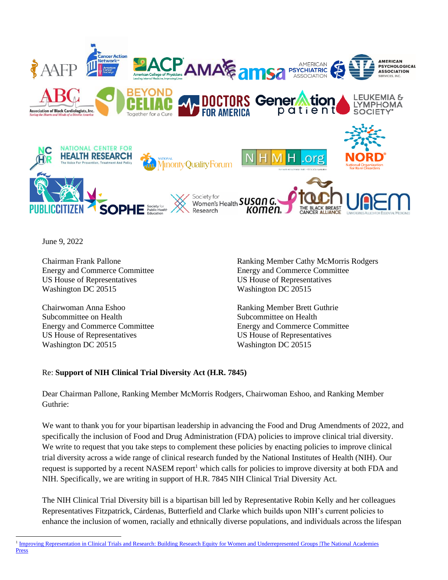

June 9, 2022

Chairman Frank Pallone Energy and Commerce Committee US House of Representatives Washington DC 20515

Chairwoman Anna Eshoo Subcommittee on Health Energy and Commerce Committee US House of Representatives Washington DC 20515

Ranking Member Cathy McMorris Rodgers Energy and Commerce Committee US House of Representatives Washington DC 20515

Ranking Member Brett Guthrie Subcommittee on Health Energy and Commerce Committee US House of Representatives Washington DC 20515

## Re: **Support of NIH Clinical Trial Diversity Act (H.R. 7845)**

Dear Chairman Pallone, Ranking Member McMorris Rodgers, Chairwoman Eshoo, and Ranking Member Guthrie:

We want to thank you for your bipartisan leadership in advancing the Food and Drug Amendments of 2022, and specifically the inclusion of Food and Drug Administration (FDA) policies to improve clinical trial diversity. We write to request that you take steps to complement these policies by enacting policies to improve clinical trial diversity across a wide range of clinical research funded by the National Institutes of Health (NIH). Our request is supported by a recent NASEM report<sup>1</sup> which calls for policies to improve diversity at both FDA and NIH. Specifically, we are writing in support of H.R. 7845 NIH Clinical Trial Diversity Act.

The NIH Clinical Trial Diversity bill is a bipartisan bill led by Representative Robin Kelly and her colleagues Representatives Fitzpatrick, Cárdenas, Butterfield and Clarke which builds upon NIH's current policies to enhance the inclusion of women, racially and ethnically diverse populations, and individuals across the lifespan

<sup>&</sup>lt;sup>1</sup> Improving Representation in Clinical Trials and Research: Building Research Equity for Women and Underrepresented Groups [The National Academies [Press](https://nap.nationalacademies.org/catalog/26479/improving-representation-in-clinical-trials-and-research-building-research-equity)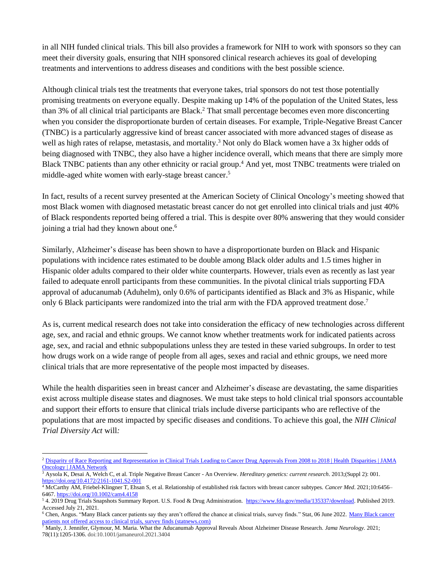in all NIH funded clinical trials. This bill also provides a framework for NIH to work with sponsors so they can meet their diversity goals, ensuring that NIH sponsored clinical research achieves its goal of developing treatments and interventions to address diseases and conditions with the best possible science.

Although clinical trials test the treatments that everyone takes, trial sponsors do not test those potentially promising treatments on everyone equally. Despite making up 14% of the population of the United States, less than 3% of all clinical trial participants are Black. <sup>2</sup> That small percentage becomes even more disconcerting when you consider the disproportionate burden of certain diseases. For example, Triple-Negative Breast Cancer (TNBC) is a particularly aggressive kind of breast cancer associated with more advanced stages of disease as well as high rates of relapse, metastasis, and mortality.<sup>3</sup> Not only do Black women have a 3x higher odds of being diagnosed with TNBC, they also have a higher incidence overall, which means that there are simply more Black TNBC patients than any other ethnicity or racial group.<sup>4</sup> And yet, most TNBC treatments were trialed on middle-aged white women with early-stage breast cancer. 5

In fact, results of a recent survey presented at the American Society of Clinical Oncology's meeting showed that most Black women with diagnosed metastatic breast cancer do not get enrolled into clinical trials and just 40% of Black respondents reported being offered a trial. This is despite over 80% answering that they would consider joining a trial had they known about one. 6

Similarly, Alzheimer's disease has been shown to have a disproportionate burden on Black and Hispanic populations with incidence rates estimated to be double among Black older adults and 1.5 times higher in Hispanic older adults compared to their older white counterparts. However, trials even as recently as last year failed to adequate enroll participants from these communities. In the pivotal clinical trials supporting FDA approval of aducanumab (Aduhelm), only 0.6% of participants identified as Black and 3% as Hispanic, while only 6 Black participants were randomized into the trial arm with the FDA approved treatment dose.<sup>7</sup>

As is, current medical research does not take into consideration the efficacy of new technologies across different age, sex, and racial and ethnic groups. We cannot know whether treatments work for indicated patients across age, sex, and racial and ethnic subpopulations unless they are tested in these varied subgroups. In order to test how drugs work on a wide range of people from all ages, sexes and racial and ethnic groups, we need more clinical trials that are more representative of the people most impacted by diseases.

While the health disparities seen in breast cancer and Alzheimer's disease are devastating, the same disparities exist across multiple disease states and diagnoses. We must take steps to hold clinical trial sponsors accountable and support their efforts to ensure that clinical trials include diverse participants who are reflective of the populations that are most impacted by specific diseases and conditions. To achieve this goal, the *NIH Clinical Trial Diversity Act* will*:*

<sup>&</sup>lt;sup>2</sup> [Disparity of Race Reporting and Representation in Clinical Trials Leading to Cancer Drug Approvals From 2008 to 2018 | Health](https://jamanetwork.com/journals/jamaoncology/fullarticle/2748395) Disparities | JAMA [Oncology | JAMA Network](https://jamanetwork.com/journals/jamaoncology/fullarticle/2748395)

<sup>3</sup> Aysola K, Desai A, Welch C, et al. Triple Negative Breast Cancer - An Overview. *Hereditary genetics: current research*. 2013;(Suppl 2): 001. <https://doi.org/10.4172/2161-1041.S2-001>

<sup>4</sup> McCarthy AM, Friebel-Klingner T, Ehsan S, et al. Relationship of established risk factors with breast cancer subtypes. *Cancer Med*. 2021;10:6456– 6467[. https://doi.org/10.1002/cam4.4158](https://doi.org/10.1002/cam4.4158)

<sup>&</sup>lt;sup>5</sup> 4. 2019 Drug Trials Snapshots Summary Report. U.S. Food & Drug Administration. [https://www.fda.gov/media/135337/download.](https://www.fda.gov/media/135337/download) Published 2019. Accessed July 21, 2021.

<sup>&</sup>lt;sup>6</sup> Chen, Angus. "[Many Black cancer](https://www.statnews.com/2022/06/06/black-cancer-patients-not-offered-access-to-clinical-trials/) patients say they aren't offered the chance at clinical trials, survey finds." Stat, 06 June 2022. Many Black cancer [patients not offered access to clinical trials, survey finds \(statnews.com\)](https://www.statnews.com/2022/06/06/black-cancer-patients-not-offered-access-to-clinical-trials/)

<sup>7</sup> Manly, J. Jennifer, Glymour, M. Maria. What the Aducanumab Approval Reveals About Alzheimer Disease Research. *Jama Neurology.* 2021; 78(11):1205-1306. doi:10.1001/jamaneurol.2021.3404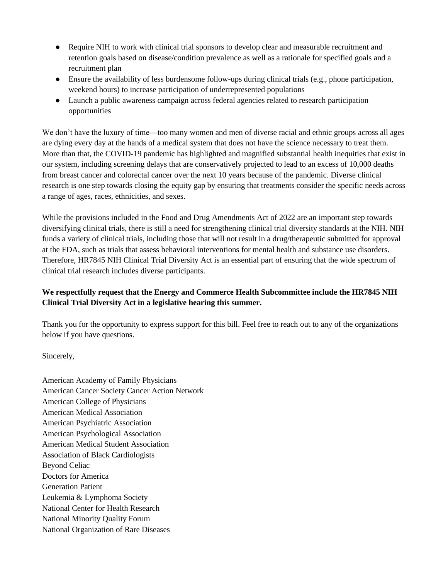- Require NIH to work with clinical trial sponsors to develop clear and measurable recruitment and retention goals based on disease/condition prevalence as well as a rationale for specified goals and a recruitment plan
- Ensure the availability of less burdensome follow-ups during clinical trials (e.g., phone participation, weekend hours) to increase participation of underrepresented populations
- Launch a public awareness campaign across federal agencies related to research participation opportunities

We don't have the luxury of time—too many women and men of diverse racial and ethnic groups across all ages are dying every day at the hands of a medical system that does not have the science necessary to treat them. More than that, the COVID-19 pandemic has highlighted and magnified substantial health inequities that exist in our system, including screening delays that are conservatively projected to lead to an excess of 10,000 deaths from breast cancer and colorectal cancer over the next 10 years because of the pandemic. Diverse clinical research is one step towards closing the equity gap by ensuring that treatments consider the specific needs across a range of ages, races, ethnicities, and sexes.

While the provisions included in the Food and Drug Amendments Act of 2022 are an important step towards diversifying clinical trials, there is still a need for strengthening clinical trial diversity standards at the NIH. NIH funds a variety of clinical trials, including those that will not result in a drug/therapeutic submitted for approval at the FDA, such as trials that assess behavioral interventions for mental health and substance use disorders. Therefore, HR7845 NIH Clinical Trial Diversity Act is an essential part of ensuring that the wide spectrum of clinical trial research includes diverse participants.

## **We respectfully request that the Energy and Commerce Health Subcommittee include the HR7845 NIH Clinical Trial Diversity Act in a legislative hearing this summer.**

Thank you for the opportunity to express support for this bill. Feel free to reach out to any of the organizations below if you have questions.

Sincerely,

American Academy of Family Physicians American Cancer Society Cancer Action Network American College of Physicians American Medical Association American Psychiatric Association American Psychological Association American Medical Student Association Association of Black Cardiologists Beyond Celiac Doctors for America Generation Patient Leukemia & Lymphoma Society National Center for Health Research National Minority Quality Forum National Organization of Rare Diseases